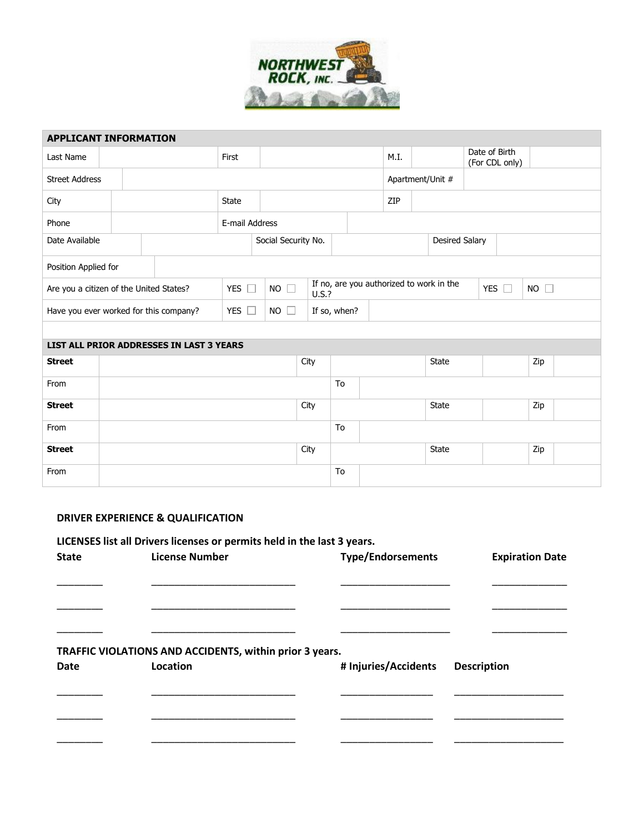

| <b>APPLICANT INFORMATION</b>             |  |  |                |                     |              |       |      |                  |                                          |                                 |                       |                           |     |  |
|------------------------------------------|--|--|----------------|---------------------|--------------|-------|------|------------------|------------------------------------------|---------------------------------|-----------------------|---------------------------|-----|--|
| Last Name                                |  |  | First          |                     |              |       | M.I. |                  |                                          | Date of Birth<br>(For CDL only) |                       |                           |     |  |
| <b>Street Address</b>                    |  |  |                |                     |              |       |      | Apartment/Unit # |                                          |                                 |                       |                           |     |  |
| City                                     |  |  | <b>State</b>   |                     |              |       |      | ZIP              |                                          |                                 |                       |                           |     |  |
| Phone                                    |  |  | E-mail Address |                     |              |       |      |                  |                                          |                                 |                       |                           |     |  |
| Date Available                           |  |  |                | Social Security No. |              |       |      |                  |                                          |                                 | <b>Desired Salary</b> |                           |     |  |
| Position Applied for                     |  |  |                |                     |              |       |      |                  |                                          |                                 |                       |                           |     |  |
| Are you a citizen of the United States?  |  |  | YES $\Box$     | $NO \square$        |              | U.S.? |      |                  | If no, are you authorized to work in the |                                 |                       | $NO$ $\Box$<br>YES $\Box$ |     |  |
| Have you ever worked for this company?   |  |  | YES $\Box$     | <b>NO</b><br>$\Box$ | If so, when? |       |      |                  |                                          |                                 |                       |                           |     |  |
|                                          |  |  |                |                     |              |       |      |                  |                                          |                                 |                       |                           |     |  |
| LIST ALL PRIOR ADDRESSES IN LAST 3 YEARS |  |  |                |                     |              |       |      |                  |                                          |                                 |                       |                           |     |  |
| <b>Street</b>                            |  |  |                |                     | City         |       |      |                  |                                          | State                           |                       |                           | Zip |  |
| From                                     |  |  |                |                     |              | To    |      |                  |                                          |                                 |                       |                           |     |  |
| <b>Street</b>                            |  |  |                |                     | City         |       |      |                  |                                          | <b>State</b>                    |                       |                           | Zip |  |
| From                                     |  |  |                |                     |              | To    |      |                  |                                          |                                 |                       |                           |     |  |
| <b>Street</b>                            |  |  |                |                     | City         |       |      |                  |                                          | State                           |                       |                           | Zip |  |
| From                                     |  |  |                |                     |              | To    |      |                  |                                          |                                 |                       |                           |     |  |

## **DRIVER EXPERIENCE & QUALIFICATION**

|              | LICENSES list all Drivers licenses or permits held in the last 3 years. |                          |                        |
|--------------|-------------------------------------------------------------------------|--------------------------|------------------------|
| <b>State</b> | <b>License Number</b>                                                   | <b>Type/Endorsements</b> | <b>Expiration Date</b> |
|              |                                                                         |                          |                        |
|              |                                                                         |                          |                        |
|              |                                                                         |                          |                        |
|              |                                                                         |                          |                        |
|              |                                                                         |                          |                        |
|              | TRAFFIC VIOLATIONS AND ACCIDENTS, within prior 3 years.                 |                          |                        |
| <b>Date</b>  | Location                                                                | # Injuries/Accidents     | <b>Description</b>     |
|              |                                                                         |                          |                        |
|              |                                                                         |                          |                        |
|              |                                                                         |                          |                        |
|              |                                                                         |                          |                        |
|              |                                                                         |                          |                        |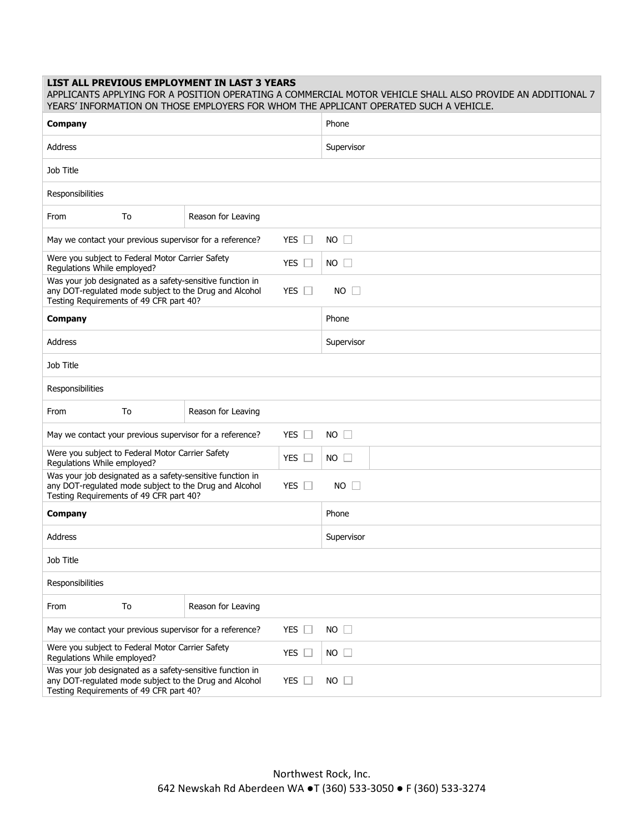## **LIST ALL PREVIOUS EMPLOYMENT IN LAST 3 YEARS**

| APPLICANTS APPLYING FOR A POSITION OPERATING A COMMERCIAL MOTOR VEHICLE SHALL ALSO PROVIDE AN ADDITIONAL 7<br>YEARS' INFORMATION ON THOSE EMPLOYERS FOR WHOM THE APPLICANT OPERATED SUCH A VEHICLE. |                    |                    |  |  |  |  |  |
|-----------------------------------------------------------------------------------------------------------------------------------------------------------------------------------------------------|--------------------|--------------------|--|--|--|--|--|
| <b>Company</b>                                                                                                                                                                                      |                    | Phone              |  |  |  |  |  |
| Address                                                                                                                                                                                             |                    | Supervisor         |  |  |  |  |  |
| Job Title                                                                                                                                                                                           |                    |                    |  |  |  |  |  |
| Responsibilities                                                                                                                                                                                    |                    |                    |  |  |  |  |  |
| From<br>To                                                                                                                                                                                          | Reason for Leaving |                    |  |  |  |  |  |
| May we contact your previous supervisor for a reference?                                                                                                                                            | YES $\Box$         | $NO$ $\Box$        |  |  |  |  |  |
| Were you subject to Federal Motor Carrier Safety<br>Regulations While employed?                                                                                                                     | YES $\Box$         | $NO \Box$          |  |  |  |  |  |
| Was your job designated as a safety-sensitive function in<br>any DOT-regulated mode subject to the Drug and Alcohol<br>Testing Requirements of 49 CFR part 40?                                      | YES $\square$      | $NO$ $\Box$        |  |  |  |  |  |
| <b>Company</b>                                                                                                                                                                                      |                    | Phone              |  |  |  |  |  |
| <b>Address</b>                                                                                                                                                                                      |                    | Supervisor         |  |  |  |  |  |
| Job Title                                                                                                                                                                                           |                    |                    |  |  |  |  |  |
| Responsibilities                                                                                                                                                                                    |                    |                    |  |  |  |  |  |
| From<br>To                                                                                                                                                                                          | Reason for Leaving |                    |  |  |  |  |  |
| YES $\Box$<br>$NO$ $\Box$<br>May we contact your previous supervisor for a reference?                                                                                                               |                    |                    |  |  |  |  |  |
| Were you subject to Federal Motor Carrier Safety<br>Regulations While employed?                                                                                                                     | YES $\Box$         | NO<br>$\mathbf{1}$ |  |  |  |  |  |
| Was your job designated as a safety-sensitive function in<br>any DOT-regulated mode subject to the Drug and Alcohol<br>Testing Requirements of 49 CFR part 40?                                      | YES $\square$      | $NO$ $\Box$        |  |  |  |  |  |
| Company                                                                                                                                                                                             |                    | Phone              |  |  |  |  |  |
| Address                                                                                                                                                                                             |                    | Supervisor         |  |  |  |  |  |
| Job Title                                                                                                                                                                                           |                    |                    |  |  |  |  |  |
| Responsibilities                                                                                                                                                                                    |                    |                    |  |  |  |  |  |
| To<br>From                                                                                                                                                                                          | Reason for Leaving |                    |  |  |  |  |  |
| May we contact your previous supervisor for a reference?                                                                                                                                            | YES $\Box$         | $NO$ $\Box$        |  |  |  |  |  |
| Were you subject to Federal Motor Carrier Safety<br>Regulations While employed?                                                                                                                     | YES $\square$      | $NO$ $\Box$        |  |  |  |  |  |
| Was your job designated as a safety-sensitive function in<br>any DOT-regulated mode subject to the Drug and Alcohol<br>Testing Requirements of 49 CFR part 40?                                      | YES $\square$      | $NO$ $\Box$        |  |  |  |  |  |